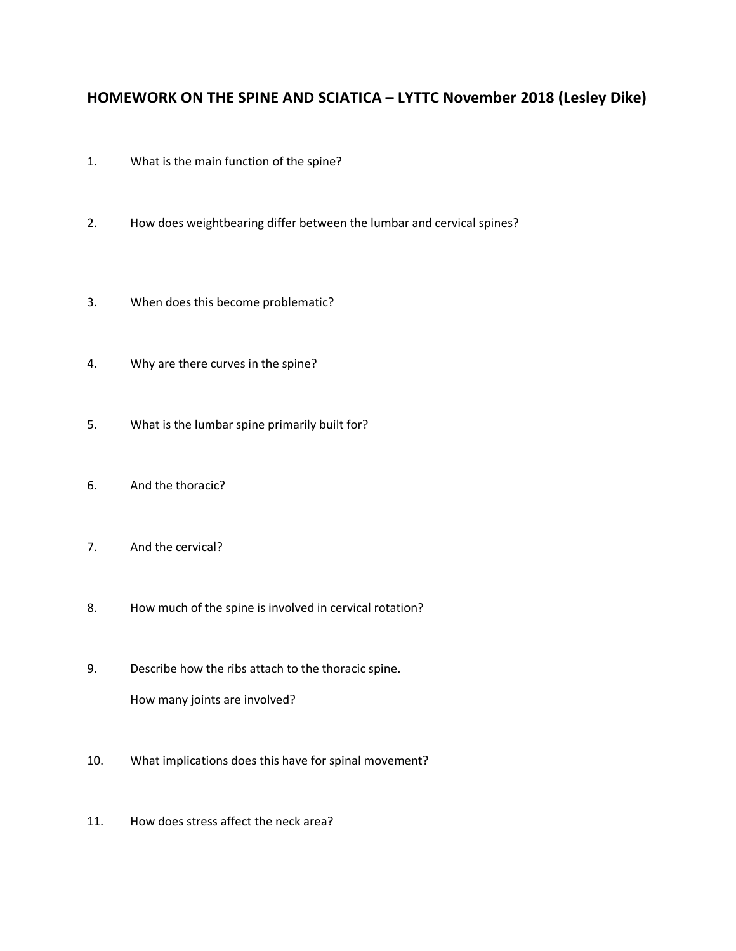## **HOMEWORK ON THE SPINE AND SCIATICA – LYTTC November 2018 (Lesley Dike)**

- 1. What is the main function of the spine?
- 2. How does weightbearing differ between the lumbar and cervical spines?
- 3. When does this become problematic?
- 4. Why are there curves in the spine?
- 5. What is the lumbar spine primarily built for?
- 6. And the thoracic?
- 7. And the cervical?
- 8. How much of the spine is involved in cervical rotation?
- 9. Describe how the ribs attach to the thoracic spine. How many joints are involved?
- 10. What implications does this have for spinal movement?
- 11. How does stress affect the neck area?